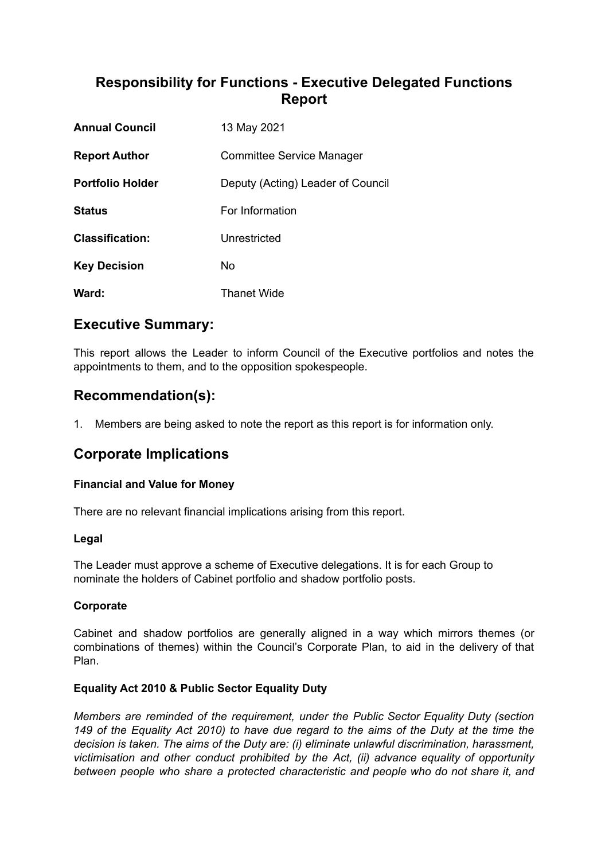# **Responsibility for Functions - Executive Delegated Functions Report**

| <b>Annual Council</b>   | 13 May 2021                       |
|-------------------------|-----------------------------------|
| <b>Report Author</b>    | Committee Service Manager         |
| <b>Portfolio Holder</b> | Deputy (Acting) Leader of Council |
| <b>Status</b>           | For Information                   |
| <b>Classification:</b>  | Unrestricted                      |
| <b>Key Decision</b>     | No                                |
| Ward:                   | <b>Thanet Wide</b>                |

## **Executive Summary:**

This report allows the Leader to inform Council of the Executive portfolios and notes the appointments to them, and to the opposition spokespeople.

## **Recommendation(s):**

1. Members are being asked to note the report as this report is for information only.

## **Corporate Implications**

### **Financial and Value for Money**

There are no relevant financial implications arising from this report.

### **Legal**

The Leader must approve a scheme of Executive delegations. It is for each Group to nominate the holders of Cabinet portfolio and shadow portfolio posts.

### **Corporate**

Cabinet and shadow portfolios are generally aligned in a way which mirrors themes (or combinations of themes) within the Council's Corporate Plan, to aid in the delivery of that Plan.

### **Equality Act 2010 & Public Sector Equality Duty**

*Members are reminded of the requirement, under the Public Sector Equality Duty (section* 149 of the Equality Act 2010) to have due regard to the aims of the Duty at the time the *decision is taken. The aims of the Duty are: (i) eliminate unlawful discrimination, harassment, victimisation and other conduct prohibited by the Act, (ii) advance equality of opportunity between people who share a protected characteristic and people who do not share it, and*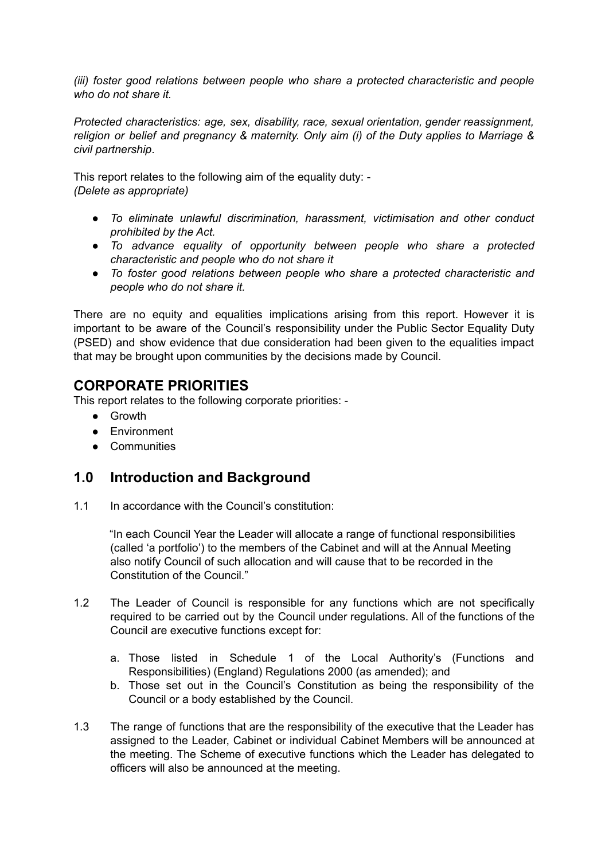*(iii) foster good relations between people who share a protected characteristic and people who do not share it.*

*Protected characteristics: age, sex, disability, race, sexual orientation, gender reassignment, religion or belief and pregnancy & maternity. Only aim (i) of the Duty applies to Marriage & civil partnership*.

This report relates to the following aim of the equality duty: - *(Delete as appropriate)*

- *● To eliminate unlawful discrimination, harassment, victimisation and other conduct prohibited by the Act.*
- *● To advance equality of opportunity between people who share a protected characteristic and people who do not share it*
- *● To foster good relations between people who share a protected characteristic and people who do not share it.*

There are no equity and equalities implications arising from this report. However it is important to be aware of the Council's responsibility under the Public Sector Equality Duty (PSED) and show evidence that due consideration had been given to the equalities impact that may be brought upon communities by the decisions made by Council.

# **CORPORATE PRIORITIES**

This report relates to the following corporate priorities: -

- Growth
- Environment
- Communities

### **1.0 Introduction and Background**

1.1 In accordance with the Council's constitution:

"In each Council Year the Leader will allocate a range of functional responsibilities (called 'a portfolio') to the members of the Cabinet and will at the Annual Meeting also notify Council of such allocation and will cause that to be recorded in the Constitution of the Council."

- 1.2 The Leader of Council is responsible for any functions which are not specifically required to be carried out by the Council under regulations. All of the functions of the Council are executive functions except for:
	- a. Those listed in Schedule 1 of the Local Authority's (Functions and Responsibilities) (England) Regulations 2000 (as amended); and
	- b. Those set out in the Council's Constitution as being the responsibility of the Council or a body established by the Council.
- 1.3 The range of functions that are the responsibility of the executive that the Leader has assigned to the Leader, Cabinet or individual Cabinet Members will be announced at the meeting. The Scheme of executive functions which the Leader has delegated to officers will also be announced at the meeting.